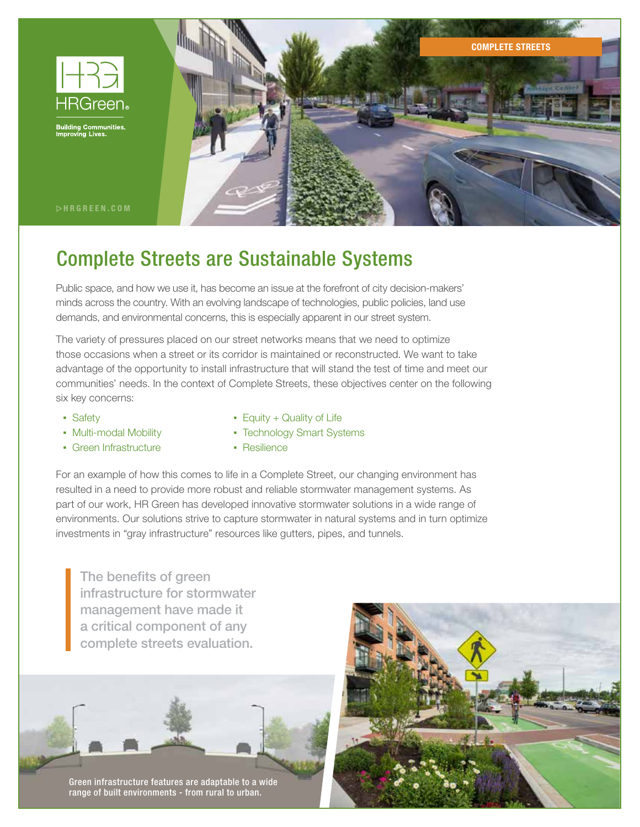

**Building Communities**<br>Improving Lives.



 $\triangleright$ HRGREEN.COM

# Complete Streets are Sustainable Systems

Public space, and how we use it, has become an issue at the forefront of city decision-makers' minds across the country. With an evolving landscape of technologies, public policies, land use demands, and environmental concerns, this is especially apparent in our street system.

The variety of pressures placed on our street networks means that we need to optimize those occasions when a street or its corridor is maintained or reconstructed. We want to take advantage of the opportunity to install infrastructure that will stand the test of time and meet our communities' needs. In the context of Complete Streets, these objectives center on the following six key concerns:

- Safety
- Multi-modal Mobility
- Green Infrastructure
- Equity + Quality of Life
- Technology Smart Systems
- **Resilience**

For an example of how this comes to life in a Complete Street, our changing environment has resulted in a need to provide more robust and reliable stormwater management systems. As part of our work, HR Green has developed innovative stormwater solutions in a wide range of environments. Our solutions strive to capture stormwater in natural systems and in turn optimize investments in "gray infrastructure" resources like gutters, pipes, and tunnels.

The benefits of green infrastructure for stormwater management have made it a critical component of any complete streets evaluation.

Green infrastructure features are adaptable to a wide range of built environments - from rural to urban.